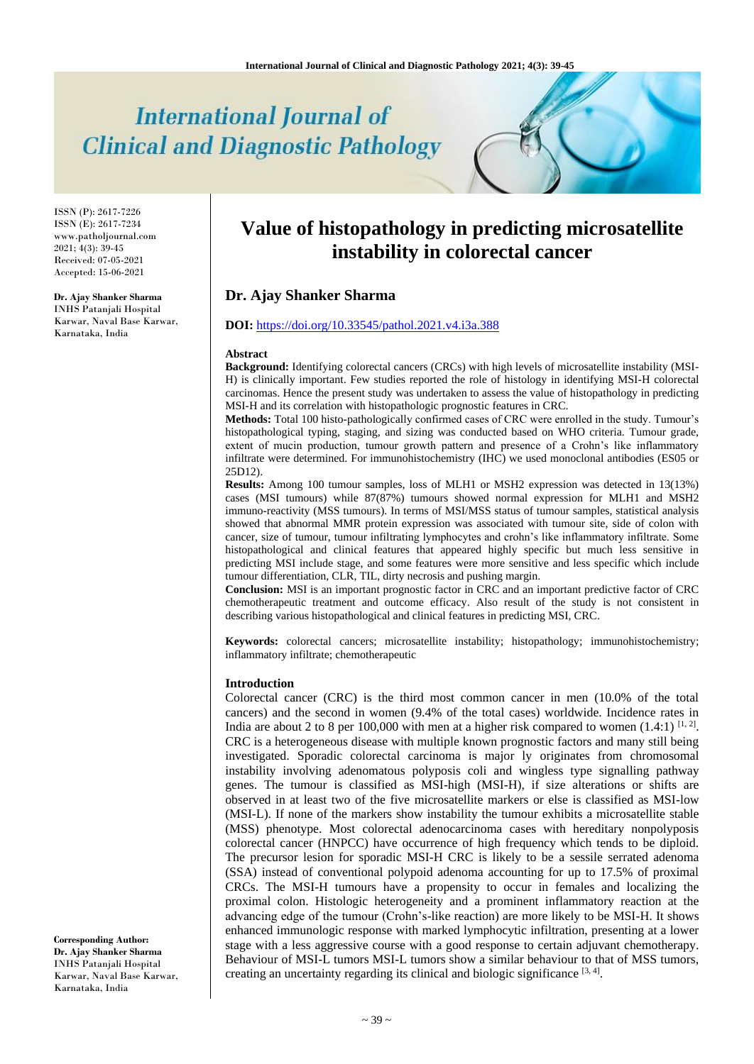# **International Journal of Clinical and Diagnostic Pathology**

ISSN (P): 2617-7226 ISSN (E): 2617-7234 www.patholjournal.com 2021; 4(3): 39-45 Received: 07-05-2021 Accepted: 15-06-2021

## **Dr. Ajay Shanker Sharma**

INHS Patanjali Hospital Karwar, Naval Base Karwar, Karnataka, India

# **Value of histopathology in predicting microsatellite instability in colorectal cancer**

## **Dr. Ajay Shanker Sharma**

# **DOI:** <https://doi.org/10.33545/pathol.2021.v4.i3a.388>

#### **Abstract**

**Background:** Identifying colorectal cancers (CRCs) with high levels of microsatellite instability (MSI-H) is clinically important. Few studies reported the role of histology in identifying MSI-H colorectal carcinomas. Hence the present study was undertaken to assess the value of histopathology in predicting MSI-H and its correlation with histopathologic prognostic features in CRC.

**Methods:** Total 100 histo-pathologically confirmed cases of CRC were enrolled in the study. Tumour's histopathological typing, staging, and sizing was conducted based on WHO criteria. Tumour grade, extent of mucin production, tumour growth pattern and presence of a Crohn's like inflammatory infiltrate were determined. For immunohistochemistry (IHC) we used monoclonal antibodies (ES05 or 25D12).

**Results:** Among 100 tumour samples, loss of MLH1 or MSH2 expression was detected in 13(13%) cases (MSI tumours) while 87(87%) tumours showed normal expression for MLH1 and MSH2 immuno-reactivity (MSS tumours). In terms of MSI/MSS status of tumour samples, statistical analysis showed that abnormal MMR protein expression was associated with tumour site, side of colon with cancer, size of tumour, tumour infiltrating lymphocytes and crohn's like inflammatory infiltrate. Some histopathological and clinical features that appeared highly specific but much less sensitive in predicting MSI include stage, and some features were more sensitive and less specific which include tumour differentiation, CLR, TIL, dirty necrosis and pushing margin.

**Conclusion:** MSI is an important prognostic factor in CRC and an important predictive factor of CRC chemotherapeutic treatment and outcome efficacy. Also result of the study is not consistent in describing various histopathological and clinical features in predicting MSI, CRC.

**Keywords:** colorectal cancers; microsatellite instability; histopathology; immunohistochemistry; inflammatory infiltrate; chemotherapeutic

#### **Introduction**

Colorectal cancer (CRC) is the third most common cancer in men (10.0% of the total cancers) and the second in women (9.4% of the total cases) worldwide. Incidence rates in India are about 2 to 8 per 100,000 with men at a higher risk compared to women  $(1.4:1)$  [1, 2]. CRC is a heterogeneous disease with multiple known prognostic factors and many still being investigated. Sporadic colorectal carcinoma is major ly originates from chromosomal instability involving adenomatous polyposis coli and wingless type signalling pathway genes. The tumour is classified as MSI-high (MSI-H), if size alterations or shifts are observed in at least two of the five microsatellite markers or else is classified as MSI-low (MSI-L). If none of the markers show instability the tumour exhibits a microsatellite stable (MSS) phenotype. Most colorectal adenocarcinoma cases with hereditary nonpolyposis colorectal cancer (HNPCC) have occurrence of high frequency which tends to be diploid. The precursor lesion for sporadic MSI-H CRC is likely to be a sessile serrated adenoma (SSA) instead of conventional polypoid adenoma accounting for up to 17.5% of proximal CRCs. The MSI-H tumours have a propensity to occur in females and localizing the proximal colon. Histologic heterogeneity and a prominent inflammatory reaction at the advancing edge of the tumour (Crohn's-like reaction) are more likely to be MSI-H. It shows enhanced immunologic response with marked lymphocytic infiltration, presenting at a lower stage with a less aggressive course with a good response to certain adjuvant chemotherapy. Behaviour of MSI-L tumors MSI-L tumors show a similar behaviour to that of MSS tumors, creating an uncertainty regarding its clinical and biologic significance [3,4].

**Corresponding Author: Dr. Ajay Shanker Sharma** INHS Patanjali Hospital Karwar, Naval Base Karwar, Karnataka, India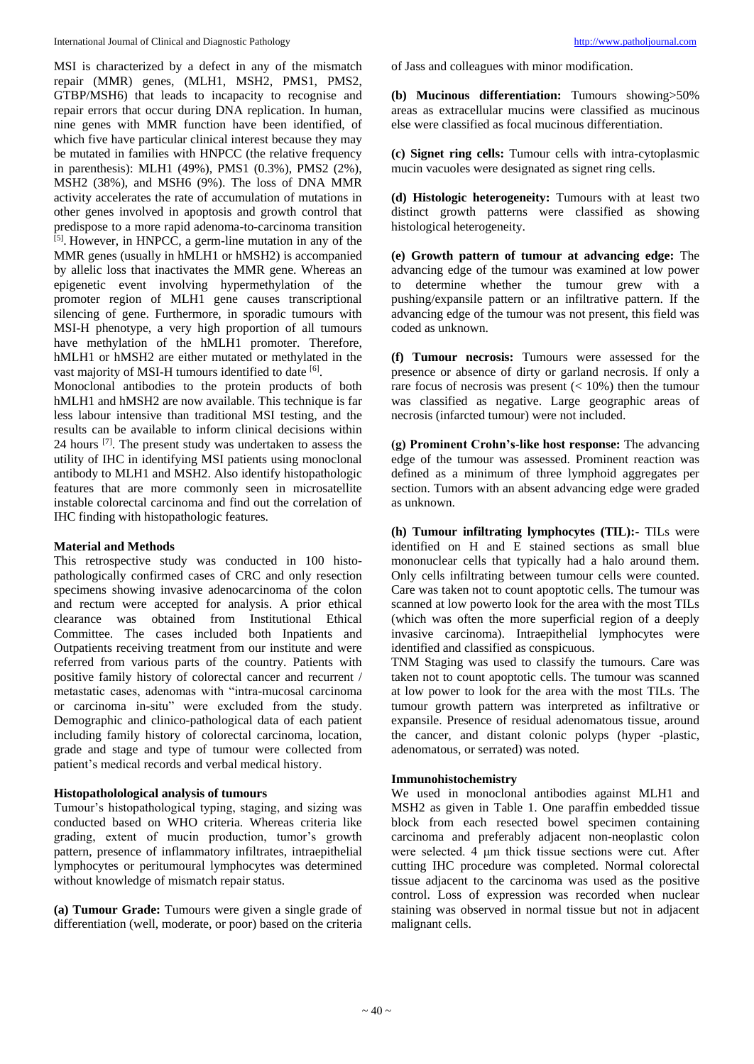MSI is characterized by a defect in any of the mismatch repair (MMR) genes, (MLH1, MSH2, PMS1, PMS2, GTBP/MSH6) that leads to incapacity to recognise and repair errors that occur during DNA replication. In human, nine genes with MMR function have been identified, of which five have particular clinical interest because they may be mutated in families with HNPCC (the relative frequency in parenthesis): MLH1 (49%), PMS1 (0.3%), PMS2 (2%), MSH2 (38%), and MSH6 (9%). The loss of DNA MMR activity accelerates the rate of accumulation of mutations in other genes involved in apoptosis and growth control that predispose to a more rapid adenoma-to-carcinoma transition [5] . However, in HNPCC, a germ-line mutation in any of the MMR genes (usually in hMLH1 or hMSH2) is accompanied by allelic loss that inactivates the MMR gene. Whereas an epigenetic event involving hypermethylation of the promoter region of MLH1 gene causes transcriptional silencing of gene. Furthermore, in sporadic tumours with MSI-H phenotype, a very high proportion of all tumours have methylation of the hMLH1 promoter. Therefore, hMLH1 or hMSH2 are either mutated or methylated in the vast majority of MSI-H tumours identified to date [6].

Monoclonal antibodies to the protein products of both hMLH1 and hMSH2 are now available. This technique is far less labour intensive than traditional MSI testing, and the results can be available to inform clinical decisions within 24 hours [7]. The present study was undertaken to assess the utility of IHC in identifying MSI patients using monoclonal antibody to MLH1 and MSH2. Also identify histopathologic features that are more commonly seen in microsatellite instable colorectal carcinoma and find out the correlation of IHC finding with histopathologic features.

#### **Material and Methods**

This retrospective study was conducted in 100 histopathologically confirmed cases of CRC and only resection specimens showing invasive adenocarcinoma of the colon and rectum were accepted for analysis. A prior ethical clearance was obtained from Institutional Ethical Committee. The cases included both Inpatients and Outpatients receiving treatment from our institute and were referred from various parts of the country. Patients with positive family history of colorectal cancer and recurrent / metastatic cases, adenomas with "intra-mucosal carcinoma or carcinoma in-situ" were excluded from the study. Demographic and clinico-pathological data of each patient including family history of colorectal carcinoma, location, grade and stage and type of tumour were collected from patient's medical records and verbal medical history.

#### **Histopatholological analysis of tumours**

Tumour's histopathological typing, staging, and sizing was conducted based on WHO criteria. Whereas criteria like grading, extent of mucin production, tumor's growth pattern, presence of inflammatory infiltrates, intraepithelial lymphocytes or peritumoural lymphocytes was determined without knowledge of mismatch repair status.

**(a) Tumour Grade:** Tumours were given a single grade of differentiation (well, moderate, or poor) based on the criteria of Jass and colleagues with minor modification.

**(b) Mucinous differentiation:** Tumours showing>50% areas as extracellular mucins were classified as mucinous else were classified as focal mucinous differentiation.

**(c) Signet ring cells:** Tumour cells with intra-cytoplasmic mucin vacuoles were designated as signet ring cells.

**(d) Histologic heterogeneity:** Tumours with at least two distinct growth patterns were classified as showing histological heterogeneity.

**(e) Growth pattern of tumour at advancing edge:** The advancing edge of the tumour was examined at low power to determine whether the tumour grew with a pushing/expansile pattern or an infiltrative pattern. If the advancing edge of the tumour was not present, this field was coded as unknown.

**(f) Tumour necrosis:** Tumours were assessed for the presence or absence of dirty or garland necrosis. If only a rare focus of necrosis was present  $(< 10\%)$  then the tumour was classified as negative. Large geographic areas of necrosis (infarcted tumour) were not included.

**(g) Prominent Crohn's-like host response:** The advancing edge of the tumour was assessed. Prominent reaction was defined as a minimum of three lymphoid aggregates per section. Tumors with an absent advancing edge were graded as unknown.

**(h) Tumour infiltrating lymphocytes (TIL):-** TILs were identified on H and E stained sections as small blue mononuclear cells that typically had a halo around them. Only cells infiltrating between tumour cells were counted. Care was taken not to count apoptotic cells. The tumour was scanned at low powerto look for the area with the most TILs (which was often the more superficial region of a deeply invasive carcinoma). Intraepithelial lymphocytes were identified and classified as conspicuous.

TNM Staging was used to classify the tumours. Care was taken not to count apoptotic cells. The tumour was scanned at low power to look for the area with the most TILs. The tumour growth pattern was interpreted as infiltrative or expansile. Presence of residual adenomatous tissue, around the cancer, and distant colonic polyps (hyper -plastic, adenomatous, or serrated) was noted.

#### **Immunohistochemistry**

We used in monoclonal antibodies against MLH1 and MSH2 as given in Table 1. One paraffin embedded tissue block from each resected bowel specimen containing carcinoma and preferably adjacent non-neoplastic colon were selected. 4 μm thick tissue sections were cut. After cutting IHC procedure was completed. Normal colorectal tissue adjacent to the carcinoma was used as the positive control. Loss of expression was recorded when nuclear staining was observed in normal tissue but not in adjacent malignant cells.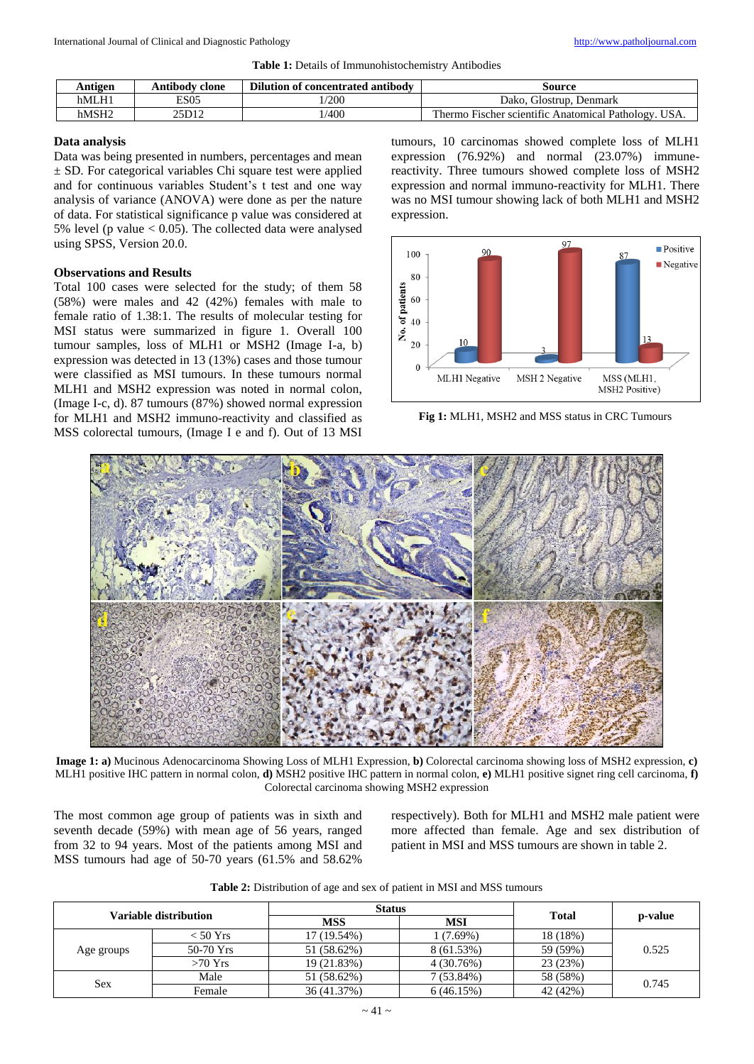**Table 1:** Details of Immunohistochemistry Antibodies

| Antigen | Antibody clone | Dilution of concentrated antibody | Source                                                                         |
|---------|----------------|-----------------------------------|--------------------------------------------------------------------------------|
| hMLH1   | <b>ES05</b>    | /200                              | Dako.<br>Denmark<br>Glostrup.                                                  |
| hMSH2   | 25D12          | 1/400                             | <b>COM</b><br>USA.<br><b>Fischer scientific Anatomical Pathology.</b><br>hermo |

#### **Data analysis**

Data was being presented in numbers, percentages and mean ± SD. For categorical variables Chi square test were applied and for continuous variables Student's t test and one way analysis of variance (ANOVA) were done as per the nature of data. For statistical significance p value was considered at 5% level (p value < 0.05). The collected data were analysed using SPSS, Version 20.0.

#### **Observations and Results**

Total 100 cases were selected for the study; of them 58 (58%) were males and 42 (42%) females with male to female ratio of 1.38:1. The results of molecular testing for MSI status were summarized in figure 1. Overall 100 tumour samples, loss of MLH1 or MSH2 (Image I-a, b) expression was detected in 13 (13%) cases and those tumour were classified as MSI tumours. In these tumours normal MLH1 and MSH2 expression was noted in normal colon, (Image I-c, d). 87 tumours (87%) showed normal expression for MLH1 and MSH2 immuno-reactivity and classified as MSS colorectal tumours, (Image I e and f). Out of 13 MSI

tumours, 10 carcinomas showed complete loss of MLH1 expression (76.92%) and normal (23.07%) immunereactivity. Three tumours showed complete loss of MSH2 expression and normal immuno-reactivity for MLH1. There was no MSI tumour showing lack of both MLH1 and MSH2 expression.



**Fig 1:** MLH1, MSH2 and MSS status in CRC Tumours



**Image 1: a)** Mucinous Adenocarcinoma Showing Loss of MLH1 Expression, **b)** Colorectal carcinoma showing loss of MSH2 expression, **c)** MLH1 positive IHC pattern in normal colon, **d)** MSH2 positive IHC pattern in normal colon, **e)** MLH1 positive signet ring cell carcinoma, **f)** Colorectal carcinoma showing MSH2 expression

The most common age group of patients was in sixth and seventh decade (59%) with mean age of 56 years, ranged from 32 to 94 years. Most of the patients among MSI and MSS tumours had age of 50-70 years (61.5% and 58.62%

respectively). Both for MLH1 and MSH2 male patient were more affected than female. Age and sex distribution of patient in MSI and MSS tumours are shown in table 2.

| Variable distribution |             | <b>Status</b> |              | <b>Total</b> |         |  |
|-----------------------|-------------|---------------|--------------|--------------|---------|--|
|                       |             | <b>MSS</b>    | <b>MSI</b>   |              | p-value |  |
|                       | < 50 Yrs    | 17 (19.54%)   | 1 (7.69%)    | 18 (18%)     |         |  |
| Age groups            | $50-70$ Yrs | 51 (58.62%)   | 8 (61.53%)   | 59 (59%)     | 0.525   |  |
|                       | $>70$ Yrs   | 19 (21.83%)   | 4(30.76%)    | 23 (23%)     |         |  |
| Sex                   | Male        | 51 (58.62%)   | $7(53.84\%)$ | 58 (58%)     | 0.745   |  |
|                       | Female      | 36 (41.37%)   | 6(46.15%)    | 42 (42%)     |         |  |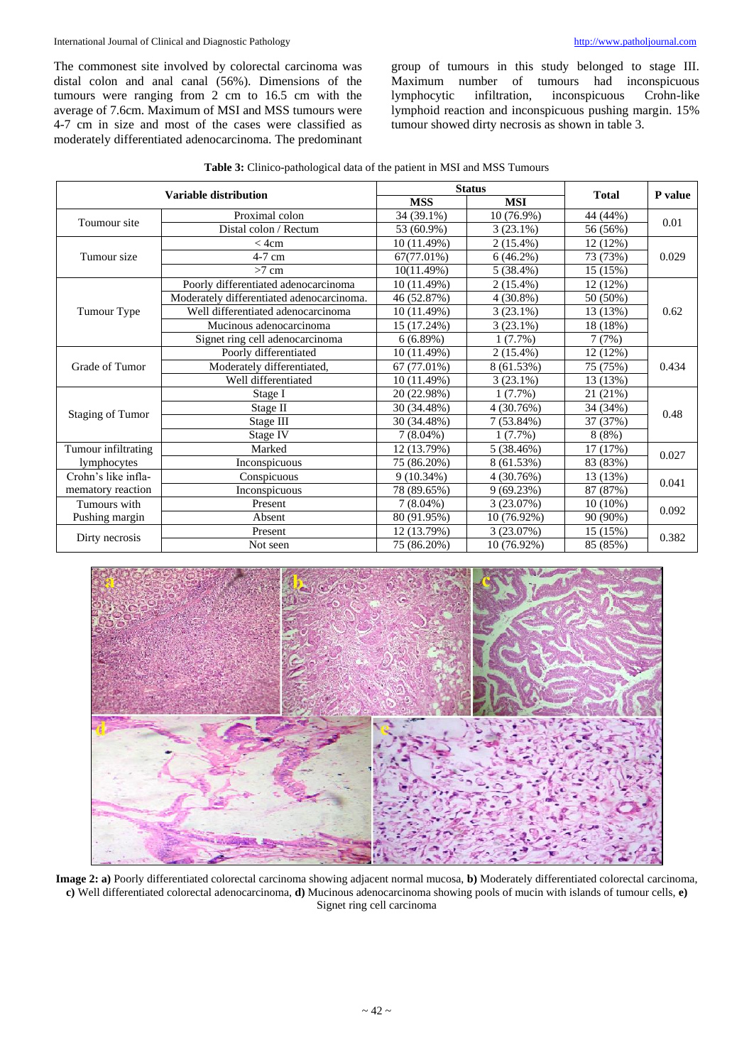The commonest site involved by colorectal carcinoma was distal colon and anal canal (56%). Dimensions of the tumours were ranging from 2 cm to 16.5 cm with the average of 7.6cm. Maximum of MSI and MSS tumours were 4-7 cm in size and most of the cases were classified as moderately differentiated adenocarcinoma. The predominant group of tumours in this study belonged to stage III. Maximum number of tumours had inconspicuous lymphocytic infiltration, inconspicuous Crohn-like lymphoid reaction and inconspicuous pushing margin. 15% tumour showed dirty necrosis as shown in table 3.

| Table 3: Clinico-pathological data of the patient in MSI and MSS Tumours |  |
|--------------------------------------------------------------------------|--|
|--------------------------------------------------------------------------|--|

| <b>Variable distribution</b> |                                           | <b>Status</b> |              | <b>Total</b> | P value |  |
|------------------------------|-------------------------------------------|---------------|--------------|--------------|---------|--|
|                              |                                           | <b>MSS</b>    | <b>MSI</b>   |              |         |  |
| Toumour site                 | Proximal colon                            | 34 (39.1%)    | $10(76.9\%)$ | 44 (44%)     | 0.01    |  |
|                              | Distal colon / Rectum                     | 53 (60.9%)    | $3(23.1\%)$  | 56 (56%)     |         |  |
|                              | $<$ 4cm                                   | 10 (11.49%)   | $2(15.4\%)$  | 12(12%)      |         |  |
| Tumour size                  | $4-7$ cm                                  | 67(77.01%)    | $6(46.2\%)$  | 73 (73%)     | 0.029   |  |
|                              | $>7$ cm                                   | 10(11.49%)    | $5(38.4\%)$  | 15 (15%)     |         |  |
|                              | Poorly differentiated adenocarcinoma      | 10 (11.49%)   | $2(15.4\%)$  | 12 (12%)     |         |  |
|                              | Moderately differentiated adenocarcinoma. | 46 (52.87%)   | $4(30.8\%)$  | 50 (50%)     |         |  |
| Tumour Type                  | Well differentiated adenocarcinoma        | 10(11.49%)    | $3(23.1\%)$  | 13 (13%)     | 0.62    |  |
|                              | Mucinous adenocarcinoma                   | 15 (17.24%)   | $3(23.1\%)$  | 18 (18%)     |         |  |
|                              | Signet ring cell adenocarcinoma           | 6(6.89%)      | $1(7.7\%)$   | 7(7%)        |         |  |
|                              | Poorly differentiated                     | 10 (11.49%)   | $2(15.4\%)$  | 12(12%)      |         |  |
| Grade of Tumor               | Moderately differentiated,                | 67 (77.01%)   | 8 (61.53%)   | 75 (75%)     | 0.434   |  |
|                              | Well differentiated                       | 10 (11.49%)   | $3(23.1\%)$  | 13 (13%)     |         |  |
|                              | Stage I                                   | 20 (22.98%)   | 1(7.7%)      | 21 (21%)     |         |  |
|                              | Stage II                                  | 30 (34.48%)   | 4(30.76%)    | 34 (34%)     |         |  |
| <b>Staging of Tumor</b>      | Stage III                                 | 30 (34.48%)   | $7(53.84\%)$ | 37 (37%)     | 0.48    |  |
|                              | Stage IV                                  | $7(8.04\%)$   | $1(7.7\%)$   | 8(8%)        |         |  |
| Tumour infiltrating          | Marked                                    | 12 (13.79%)   | 5(38.46%)    | 17(17%)      |         |  |
| lymphocytes                  | Inconspicuous                             | 75 (86.20%)   | 8 (61.53%)   | 83 (83%)     | 0.027   |  |
| Crohn's like infla-          | Conspicuous                               | $9(10.34\%)$  | 4 (30.76%)   | 13 (13%)     | 0.041   |  |
| mematory reaction            | Inconspicuous                             | 78 (89.65%)   | 9(69.23%)    | 87 (87%)     |         |  |
| Tumours with                 | Present                                   | $7(8.04\%)$   | 3(23.07%)    | $10(10\%)$   |         |  |
| Pushing margin               | Absent                                    | 80 (91.95%)   | 10 (76.92%)  | 90 (90%)     | 0.092   |  |
|                              | Present                                   | 12 (13.79%)   | 3 (23.07%)   | 15 (15%)     |         |  |
| Dirty necrosis               | Not seen                                  | 75 (86.20%)   | 10 (76.92%)  | 85 (85%)     | 0.382   |  |



**Image 2: a)** Poorly differentiated colorectal carcinoma showing adjacent normal mucosa, **b)** Moderately differentiated colorectal carcinoma, **c)** Well differentiated colorectal adenocarcinoma, **d)** Mucinous adenocarcinoma showing pools of mucin with islands of tumour cells, **e)** Signet ring cell carcinoma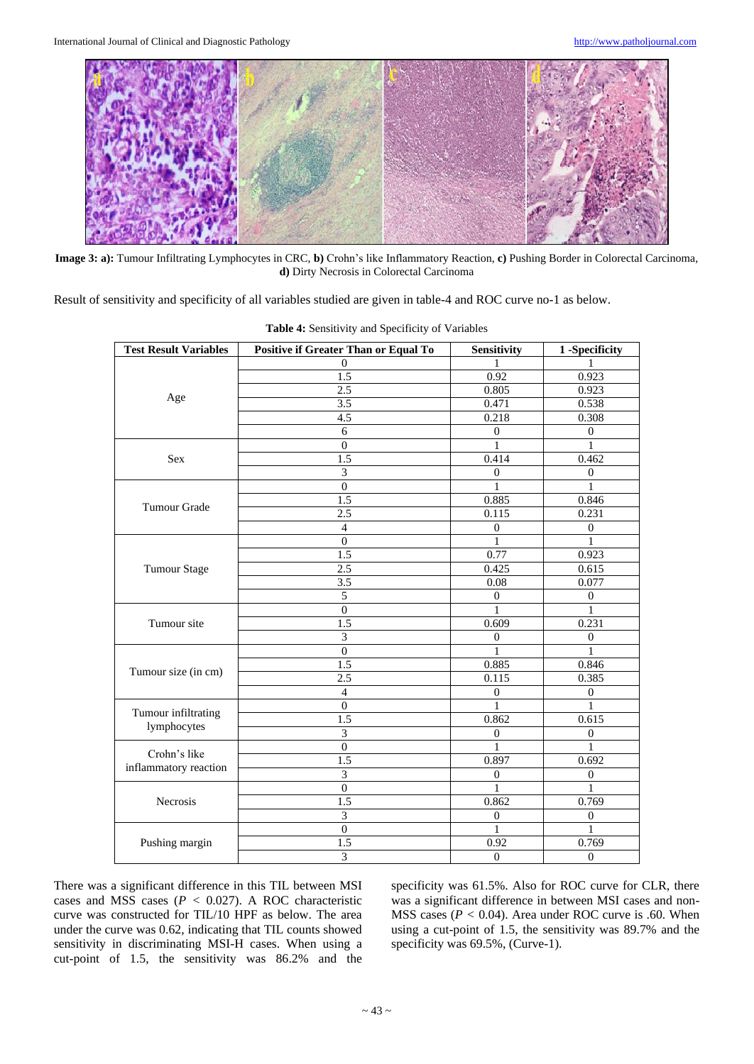

**Image 3: a):** Tumour Infiltrating Lymphocytes in CRC, **b)** Crohn's like Inflammatory Reaction, **c)** Pushing Border in Colorectal Carcinoma, **d)** Dirty Necrosis in Colorectal Carcinoma

Result of sensitivity and specificity of all variables studied are given in table-4 and ROC curve no-1 as below.

| <b>Test Result Variables</b>       | Positive if Greater Than or Equal To | Sensitivity      | 1-Specificity    |
|------------------------------------|--------------------------------------|------------------|------------------|
|                                    | 0                                    | 1                |                  |
|                                    | 1.5                                  | 0.92             | 0.923            |
|                                    | 2.5                                  | 0.805            | 0.923            |
| Age                                | 3.5                                  | 0.471            | 0.538            |
|                                    | 4.5                                  | 0.218            | 0.308            |
|                                    | 6                                    | $\mathbf{0}$     | $\boldsymbol{0}$ |
|                                    | $\mathbf{0}$                         |                  |                  |
| <b>Sex</b>                         | $\overline{1.5}$                     | 0.414            | 0.462            |
|                                    | 3                                    | $\overline{0}$   | $\boldsymbol{0}$ |
|                                    | $\Omega$                             | 1                | 1                |
| <b>Tumour Grade</b>                | $\overline{1.5}$                     | 0.885            | 0.846            |
|                                    | 2.5                                  | 0.115            | 0.231            |
|                                    | $\overline{4}$                       | $\overline{0}$   | $\boldsymbol{0}$ |
|                                    | $\Omega$                             | 1                | 1                |
|                                    | 1.5                                  | 0.77             | 0.923            |
| <b>Tumour Stage</b>                | 2.5                                  | 0.425            | 0.615            |
|                                    | 3.5                                  | 0.08             | 0.077            |
|                                    | $\sqrt{5}$                           | $\boldsymbol{0}$ | $\boldsymbol{0}$ |
|                                    | $\boldsymbol{0}$                     | 1                | $\mathbf{1}$     |
| Tumour site                        | 1.5                                  | 0.609            | 0.231            |
|                                    | $\mathfrak{Z}$                       | $\boldsymbol{0}$ | $\boldsymbol{0}$ |
|                                    | $\mathbf{0}$                         | 1                | 1                |
|                                    | 1.5                                  | 0.885            | 0.846            |
| Tumour size (in cm)                | 2.5                                  | 0.115            | 0.385            |
|                                    | $\overline{4}$                       | $\boldsymbol{0}$ | $\boldsymbol{0}$ |
|                                    | $\mathbf{0}$                         | 1                | 1                |
| Tumour infiltrating<br>lymphocytes | 1.5                                  | 0.862            | 0.615            |
|                                    | $\overline{\mathbf{3}}$              | $\boldsymbol{0}$ | $\boldsymbol{0}$ |
| Crohn's like                       | $\theta$                             | 1                | $\mathbf{1}$     |
| inflammatory reaction              | 1.5                                  | 0.897            | 0.692            |
|                                    | $\overline{\mathbf{3}}$              | $\boldsymbol{0}$ | $\boldsymbol{0}$ |
|                                    | $\mathbf{0}$                         | 1                |                  |
| Necrosis                           | 1.5                                  | 0.862            | 0.769            |
|                                    | 3                                    | $\boldsymbol{0}$ | $\boldsymbol{0}$ |
|                                    | $\boldsymbol{0}$                     | 1                | 1                |
| Pushing margin                     | 1.5                                  | 0.92             | 0.769            |
|                                    | $\overline{3}$                       | $\overline{0}$   | $\overline{0}$   |

**Table 4:** Sensitivity and Specificity of Variables

There was a significant difference in this TIL between MSI cases and MSS cases (*P <* 0.027). A ROC characteristic curve was constructed for TIL/10 HPF as below. The area under the curve was 0.62, indicating that TIL counts showed sensitivity in discriminating MSI-H cases. When using a cut-point of 1.5, the sensitivity was 86.2% and the

specificity was 61.5%. Also for ROC curve for CLR, there was a significant difference in between MSI cases and non-MSS cases (*P <* 0.04). Area under ROC curve is .60. When using a cut-point of 1.5, the sensitivity was 89.7% and the specificity was 69.5%, (Curve-1).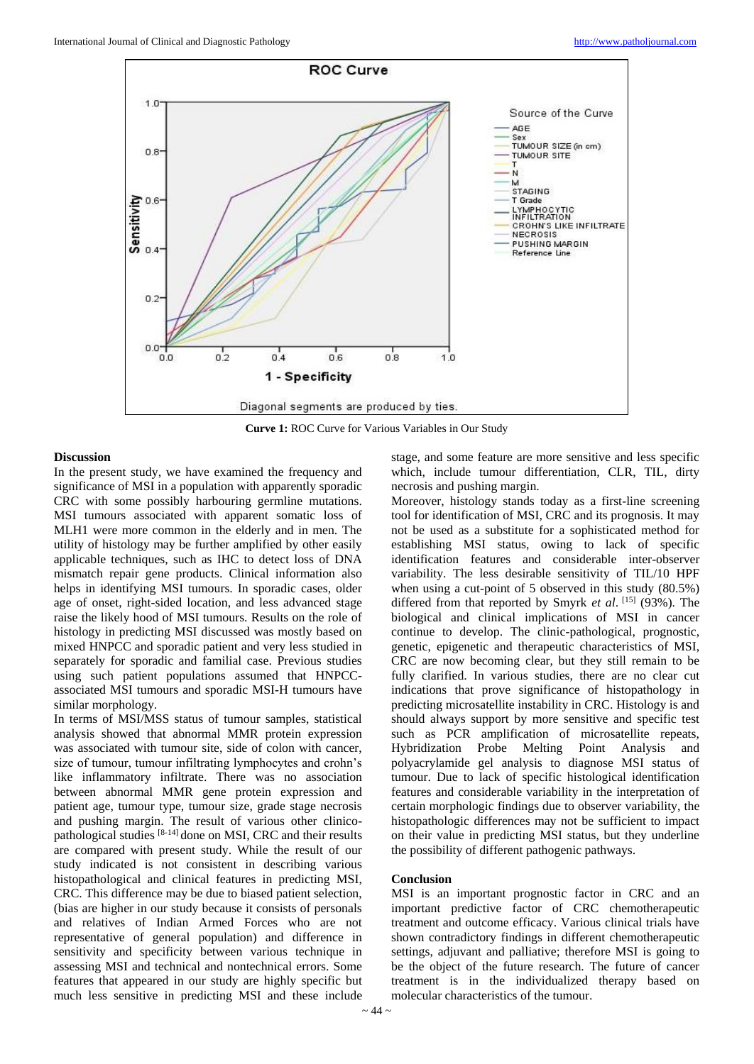

**Curve 1:** ROC Curve for Various Variables in Our Study

#### **Discussion**

In the present study, we have examined the frequency and significance of MSI in a population with apparently sporadic CRC with some possibly harbouring germline mutations. MSI tumours associated with apparent somatic loss of MLH1 were more common in the elderly and in men. The utility of histology may be further amplified by other easily applicable techniques, such as IHC to detect loss of DNA mismatch repair gene products. Clinical information also helps in identifying MSI tumours. In sporadic cases, older age of onset, right-sided location, and less advanced stage raise the likely hood of MSI tumours. Results on the role of histology in predicting MSI discussed was mostly based on mixed HNPCC and sporadic patient and very less studied in separately for sporadic and familial case. Previous studies using such patient populations assumed that HNPCCassociated MSI tumours and sporadic MSI-H tumours have similar morphology.

In terms of MSI/MSS status of tumour samples, statistical analysis showed that abnormal MMR protein expression was associated with tumour site, side of colon with cancer, size of tumour, tumour infiltrating lymphocytes and crohn's like inflammatory infiltrate. There was no association between abnormal MMR gene protein expression and patient age, tumour type, tumour size, grade stage necrosis and pushing margin. The result of various other clinicopathological studies [8-14] done on MSI, CRC and their results are compared with present study. While the result of our study indicated is not consistent in describing various histopathological and clinical features in predicting MSI, CRC. This difference may be due to biased patient selection, (bias are higher in our study because it consists of personals and relatives of Indian Armed Forces who are not representative of general population) and difference in sensitivity and specificity between various technique in assessing MSI and technical and nontechnical errors. Some features that appeared in our study are highly specific but much less sensitive in predicting MSI and these include

stage, and some feature are more sensitive and less specific which, include tumour differentiation, CLR, TIL, dirty necrosis and pushing margin.

Moreover, histology stands today as a first-line screening tool for identification of MSI, CRC and its prognosis. It may not be used as a substitute for a sophisticated method for establishing MSI status, owing to lack of specific identification features and considerable inter-observer variability. The less desirable sensitivity of TIL/10 HPF when using a cut-point of 5 observed in this study (80.5%) differed from that reported by Smyrk *et al*. [15] (93%). The biological and clinical implications of MSI in cancer continue to develop. The clinic-pathological, prognostic, genetic, epigenetic and therapeutic characteristics of MSI, CRC are now becoming clear, but they still remain to be fully clarified. In various studies, there are no clear cut indications that prove significance of histopathology in predicting microsatellite instability in CRC. Histology is and should always support by more sensitive and specific test such as PCR amplification of microsatellite repeats, Hybridization Probe Melting Point Analysis and polyacrylamide gel analysis to diagnose MSI status of tumour. Due to lack of specific histological identification features and considerable variability in the interpretation of certain morphologic findings due to observer variability, the histopathologic differences may not be sufficient to impact on their value in predicting MSI status, but they underline the possibility of different pathogenic pathways.

#### **Conclusion**

MSI is an important prognostic factor in CRC and an important predictive factor of CRC chemotherapeutic treatment and outcome efficacy. Various clinical trials have shown contradictory findings in different chemotherapeutic settings, adjuvant and palliative; therefore MSI is going to be the object of the future research. The future of cancer treatment is in the individualized therapy based on molecular characteristics of the tumour.